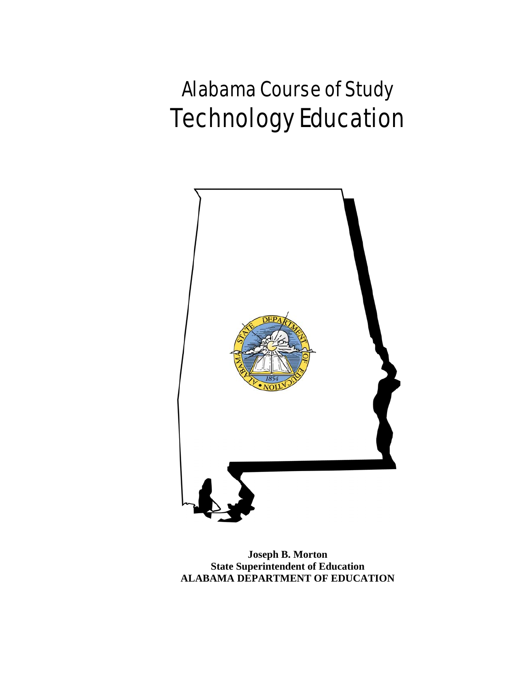# Alabama Course of Study Technology Education



**Joseph B. Morton State Superintendent of Education ALABAMA DEPARTMENT OF EDUCATION**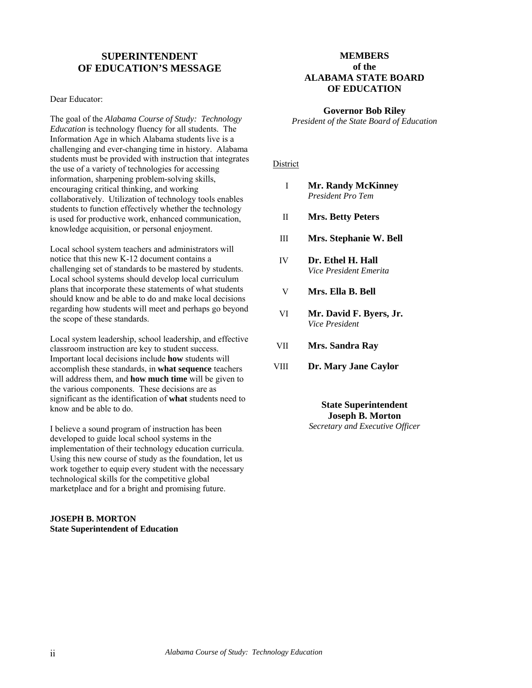#### **SUPERINTENDENT OF EDUCATION'S MESSAGE**

Dear Educator:

The goal of the *Alabama Course of Study: Technology Education* is technology fluency for all students. The Information Age in which Alabama students live is a challenging and ever-changing time in history. Alabama students must be provided with instruction that integrates the use of a variety of technologies for accessing information, sharpening problem-solving skills, encouraging critical thinking, and working collaboratively. Utilization of technology tools enables students to function effectively whether the technology is used for productive work, enhanced communication, knowledge acquisition, or personal enjoyment.

Local school system teachers and administrators will notice that this new K-12 document contains a challenging set of standards to be mastered by students. Local school systems should develop local curriculum plans that incorporate these statements of what students should know and be able to do and make local decisions regarding how students will meet and perhaps go beyond the scope of these standards.

Local system leadership, school leadership, and effective classroom instruction are key to student success. Important local decisions include **how** students will accomplish these standards, in **what sequence** teachers will address them, and **how much time** will be given to the various components. These decisions are as significant as the identification of **what** students need to know and be able to do.

I believe a sound program of instruction has been developed to guide local school systems in the implementation of their technology education curricula. Using this new course of study as the foundation, let us work together to equip every student with the necessary technological skills for the competitive global marketplace and for a bright and promising future.

#### **JOSEPH B. MORTON State Superintendent of Education**

#### **MEMBERS of the ALABAMA STATE BOARD OF EDUCATION**

#### **Governor Bob Riley**

*President of the State Board of Education* 

#### District

- I **Mr. Randy McKinney** *President Pro Tem*
- II **Mrs. Betty Peters**
- III **Mrs. Stephanie W. Bell**
- IV **Dr. Ethel H. Hall**  *Vice President Emerita*
- V **Mrs. Ella B. Bell**
- VI **Mr. David F. Byers, Jr.**  *Vice President*
- VII **Mrs. Sandra Ray**
- VIII **Dr. Mary Jane Caylor**

**State Superintendent Joseph B. Morton**  *Secretary and Executive Officer*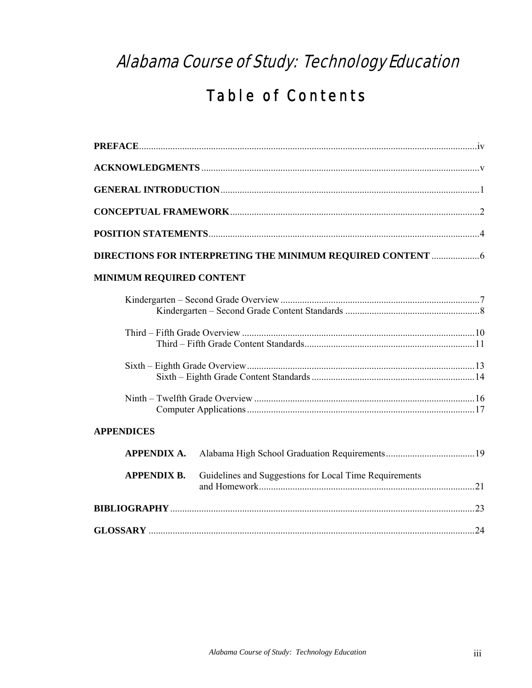## Alabama Course of Study: Technology Education

## **Table of Contents**

| <b>MINIMUM REQUIRED CONTENT</b> |                                                        |  |
|---------------------------------|--------------------------------------------------------|--|
|                                 |                                                        |  |
|                                 |                                                        |  |
|                                 |                                                        |  |
|                                 |                                                        |  |
| <b>APPENDICES</b>               |                                                        |  |
| <b>APPENDIX A.</b>              |                                                        |  |
| <b>APPENDIX B.</b>              | Guidelines and Suggestions for Local Time Requirements |  |
|                                 |                                                        |  |
|                                 |                                                        |  |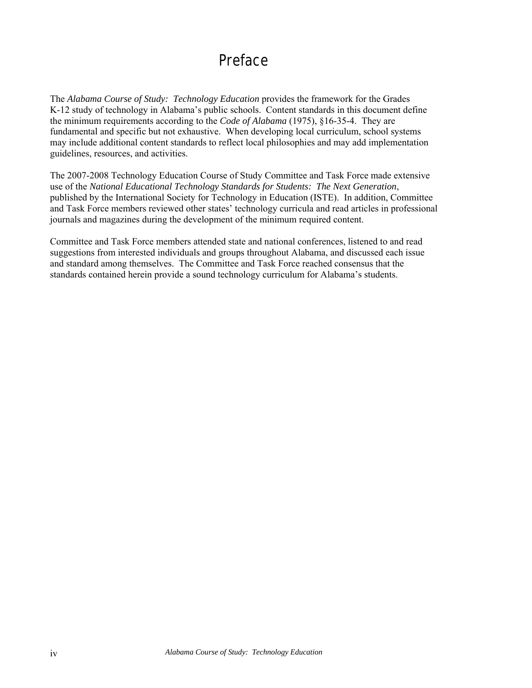## Preface

The *Alabama Course of Study: Technology Education* provides the framework for the Grades K-12 study of technology in Alabama's public schools. Content standards in this document define the minimum requirements according to the *Code of Alabama* (1975), §16-35-4. They are fundamental and specific but not exhaustive. When developing local curriculum, school systems may include additional content standards to reflect local philosophies and may add implementation guidelines, resources, and activities.

The 2007-2008 Technology Education Course of Study Committee and Task Force made extensive use of the *National Educational Technology Standards for Students: The Next Generation*, published by the International Society for Technology in Education (ISTE). In addition, Committee and Task Force members reviewed other states' technology curricula and read articles in professional journals and magazines during the development of the minimum required content.

Committee and Task Force members attended state and national conferences, listened to and read suggestions from interested individuals and groups throughout Alabama, and discussed each issue and standard among themselves. The Committee and Task Force reached consensus that the standards contained herein provide a sound technology curriculum for Alabama's students.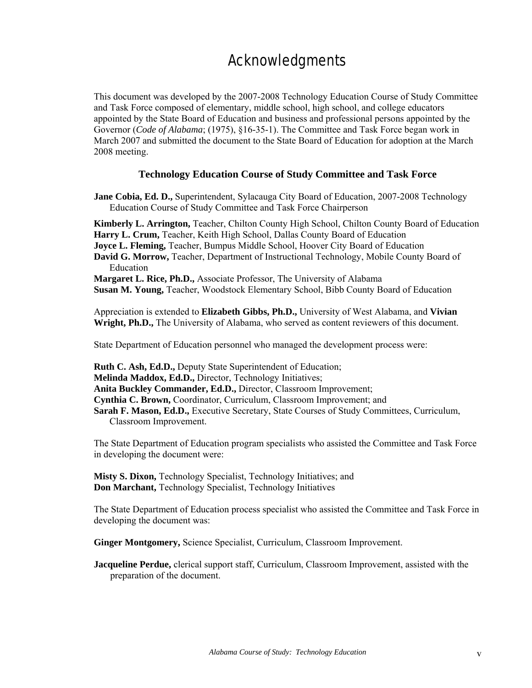## Acknowledgments

This document was developed by the 2007-2008 Technology Education Course of Study Committee and Task Force composed of elementary, middle school, high school, and college educators appointed by the State Board of Education and business and professional persons appointed by the Governor (*Code of Alabama*; (1975), §16-35-1). The Committee and Task Force began work in March 2007 and submitted the document to the State Board of Education for adoption at the March 2008 meeting.

#### **Technology Education Course of Study Committee and Task Force**

**Jane Cobia, Ed. D.,** Superintendent, Sylacauga City Board of Education, 2007-2008 Technology Education Course of Study Committee and Task Force Chairperson

**Kimberly L. Arrington,** Teacher, Chilton County High School, Chilton County Board of Education **Harry L. Crum,** Teacher, Keith High School, Dallas County Board of Education

**Joyce L. Fleming,** Teacher, Bumpus Middle School, Hoover City Board of Education

**David G. Morrow,** Teacher, Department of Instructional Technology, Mobile County Board of Education

**Margaret L. Rice, Ph.D.,** Associate Professor, The University of Alabama

**Susan M. Young,** Teacher, Woodstock Elementary School, Bibb County Board of Education

Appreciation is extended to **Elizabeth Gibbs, Ph.D.,** University of West Alabama, and **Vivian Wright, Ph.D.,** The University of Alabama, who served as content reviewers of this document.

State Department of Education personnel who managed the development process were:

**Ruth C. Ash, Ed.D.,** Deputy State Superintendent of Education;

**Melinda Maddox, Ed.D.,** Director, Technology Initiatives;

**Anita Buckley Commander, Ed.D.,** Director, Classroom Improvement;

**Cynthia C. Brown,** Coordinator, Curriculum, Classroom Improvement; and

**Sarah F. Mason, Ed.D.,** Executive Secretary, State Courses of Study Committees, Curriculum, Classroom Improvement.

The State Department of Education program specialists who assisted the Committee and Task Force in developing the document were:

**Misty S. Dixon,** Technology Specialist, Technology Initiatives; and **Don Marchant,** Technology Specialist, Technology Initiatives

The State Department of Education process specialist who assisted the Committee and Task Force in developing the document was:

**Ginger Montgomery,** Science Specialist, Curriculum, Classroom Improvement.

**Jacqueline Perdue,** clerical support staff, Curriculum, Classroom Improvement, assisted with the preparation of the document.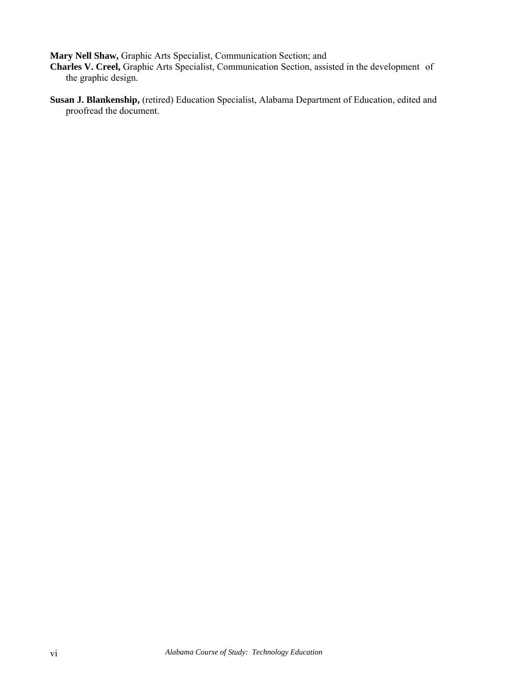**Mary Nell Shaw,** Graphic Arts Specialist, Communication Section; and

**Charles V. Creel,** Graphic Arts Specialist, Communication Section, assisted in the development of the graphic design.

**Susan J. Blankenship,** (retired) Education Specialist, Alabama Department of Education, edited and proofread the document.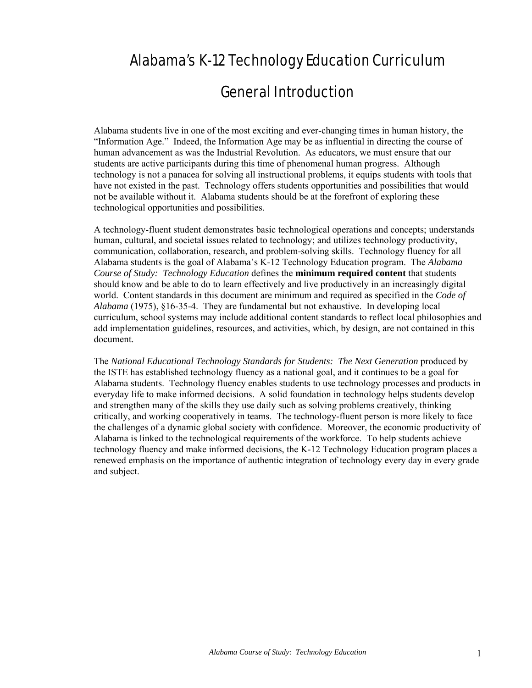## Alabama's K-12 Technology Education Curriculum

### General Introduction

Alabama students live in one of the most exciting and ever-changing times in human history, the "Information Age." Indeed, the Information Age may be as influential in directing the course of human advancement as was the Industrial Revolution. As educators, we must ensure that our students are active participants during this time of phenomenal human progress. Although technology is not a panacea for solving all instructional problems, it equips students with tools that have not existed in the past. Technology offers students opportunities and possibilities that would not be available without it. Alabama students should be at the forefront of exploring these technological opportunities and possibilities.

A technology-fluent student demonstrates basic technological operations and concepts; understands human, cultural, and societal issues related to technology; and utilizes technology productivity, communication, collaboration, research, and problem-solving skills. Technology fluency for all Alabama students is the goal of Alabama's K-12 Technology Education program. The *Alabama Course of Study: Technology Education* defines the **minimum required content** that students should know and be able to do to learn effectively and live productively in an increasingly digital world. Content standards in this document are minimum and required as specified in the *Code of Alabama* (1975), §16-35-4. They are fundamental but not exhaustive. In developing local curriculum, school systems may include additional content standards to reflect local philosophies and add implementation guidelines, resources, and activities, which, by design, are not contained in this document.

The *National Educational Technology Standards for Students: The Next Generation* produced by the ISTE has established technology fluency as a national goal, and it continues to be a goal for Alabama students. Technology fluency enables students to use technology processes and products in everyday life to make informed decisions. A solid foundation in technology helps students develop and strengthen many of the skills they use daily such as solving problems creatively, thinking critically, and working cooperatively in teams. The technology-fluent person is more likely to face the challenges of a dynamic global society with confidence. Moreover, the economic productivity of Alabama is linked to the technological requirements of the workforce. To help students achieve technology fluency and make informed decisions, the K-12 Technology Education program places a renewed emphasis on the importance of authentic integration of technology every day in every grade and subject.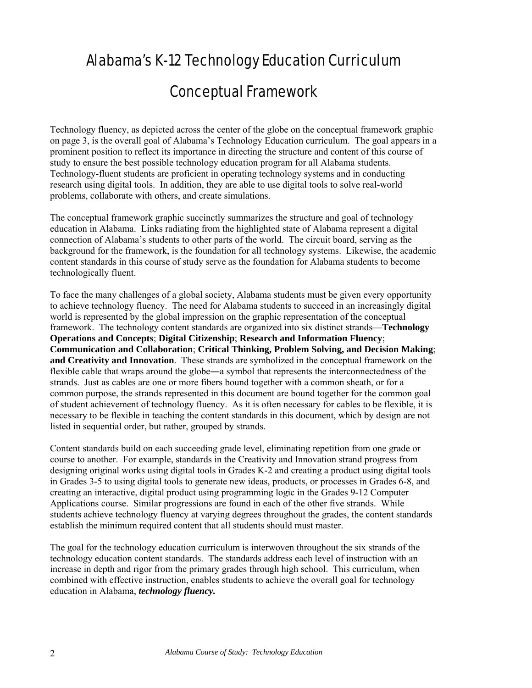## Alabama's K-12 Technology Education Curriculum

### Conceptual Framework

Technology fluency, as depicted across the center of the globe on the conceptual framework graphic on page 3, is the overall goal of Alabama's Technology Education curriculum. The goal appears in a prominent position to reflect its importance in directing the structure and content of this course of study to ensure the best possible technology education program for all Alabama students. Technology-fluent students are proficient in operating technology systems and in conducting research using digital tools. In addition, they are able to use digital tools to solve real-world problems, collaborate with others, and create simulations.

The conceptual framework graphic succinctly summarizes the structure and goal of technology education in Alabama. Links radiating from the highlighted state of Alabama represent a digital connection of Alabama's students to other parts of the world. The circuit board, serving as the background for the framework, is the foundation for all technology systems. Likewise, the academic content standards in this course of study serve as the foundation for Alabama students to become technologically fluent.

To face the many challenges of a global society, Alabama students must be given every opportunity to achieve technology fluency. The need for Alabama students to succeed in an increasingly digital world is represented by the global impression on the graphic representation of the conceptual framework. The technology content standards are organized into six distinct strands—**Technology Operations and Concepts**; **Digital Citizenship**; **Research and Information Fluency**; **Communication and Collaboration**; **Critical Thinking, Problem Solving, and Decision Making**; **and Creativity and Innovation**. These strands are symbolized in the conceptual framework on the flexible cable that wraps around the globe―a symbol that represents the interconnectedness of the strands. Just as cables are one or more fibers bound together with a common sheath, or for a common purpose, the strands represented in this document are bound together for the common goal of student achievement of technology fluency. As it is often necessary for cables to be flexible, it is necessary to be flexible in teaching the content standards in this document, which by design are not listed in sequential order, but rather, grouped by strands.

Content standards build on each succeeding grade level, eliminating repetition from one grade or course to another. For example, standards in the Creativity and Innovation strand progress from designing original works using digital tools in Grades K-2 and creating a product using digital tools in Grades 3-5 to using digital tools to generate new ideas, products, or processes in Grades 6-8, and creating an interactive, digital product using programming logic in the Grades 9-12 Computer Applications course. Similar progressions are found in each of the other five strands. While students achieve technology fluency at varying degrees throughout the grades, the content standards establish the minimum required content that all students should must master.

The goal for the technology education curriculum is interwoven throughout the six strands of the technology education content standards. The standards address each level of instruction with an increase in depth and rigor from the primary grades through high school. This curriculum, when combined with effective instruction, enables students to achieve the overall goal for technology education in Alabama, *technology fluency.*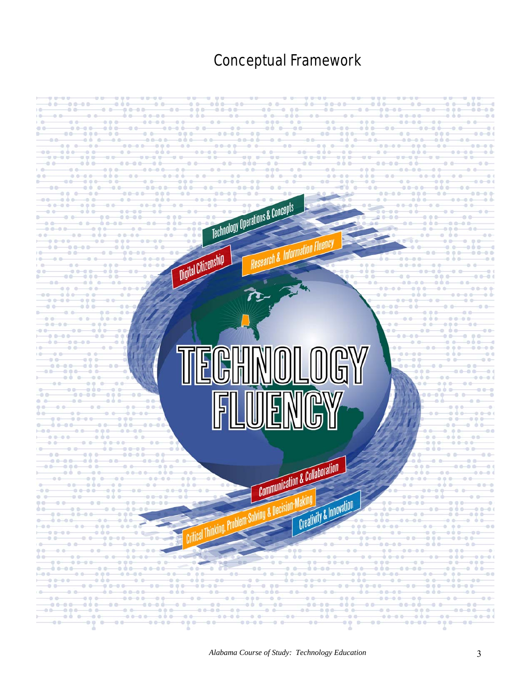## Conceptual Framework

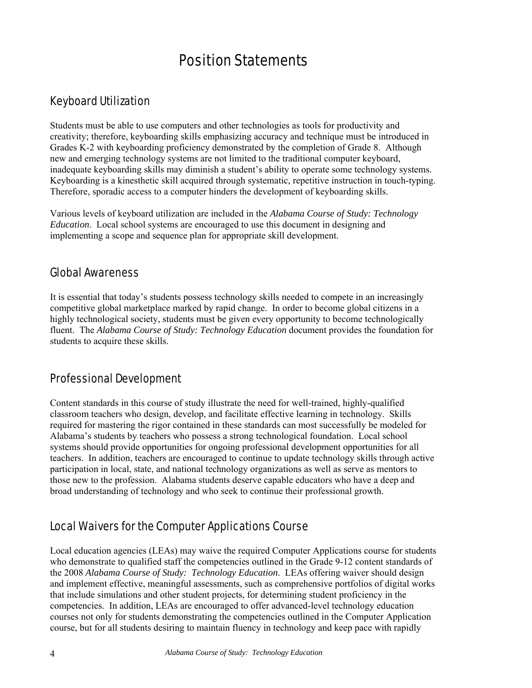### Position Statements

### Keyboard Utilization

Students must be able to use computers and other technologies as tools for productivity and creativity; therefore, keyboarding skills emphasizing accuracy and technique must be introduced in Grades K-2 with keyboarding proficiency demonstrated by the completion of Grade 8. Although new and emerging technology systems are not limited to the traditional computer keyboard, inadequate keyboarding skills may diminish a student's ability to operate some technology systems. Keyboarding is a kinesthetic skill acquired through systematic, repetitive instruction in touch-typing. Therefore, sporadic access to a computer hinders the development of keyboarding skills.

Various levels of keyboard utilization are included in the *Alabama Course of Study: Technology Education*. Local school systems are encouraged to use this document in designing and implementing a scope and sequence plan for appropriate skill development.

#### Global Awareness

It is essential that today's students possess technology skills needed to compete in an increasingly competitive global marketplace marked by rapid change. In order to become global citizens in a highly technological society, students must be given every opportunity to become technologically fluent. The *Alabama Course of Study: Technology Education* document provides the foundation for students to acquire these skills.

#### Professional Development

Content standards in this course of study illustrate the need for well-trained, highly-qualified classroom teachers who design, develop, and facilitate effective learning in technology. Skills required for mastering the rigor contained in these standards can most successfully be modeled for Alabama's students by teachers who possess a strong technological foundation. Local school systems should provide opportunities for ongoing professional development opportunities for all teachers. In addition, teachers are encouraged to continue to update technology skills through active participation in local, state, and national technology organizations as well as serve as mentors to those new to the profession. Alabama students deserve capable educators who have a deep and broad understanding of technology and who seek to continue their professional growth.

### Local Waivers for the Computer Applications Course

Local education agencies (LEAs) may waive the required Computer Applications course for students who demonstrate to qualified staff the competencies outlined in the Grade 9-12 content standards of the 2008 *Alabama Course of Study: Technology Education*. LEAs offering waiver should design and implement effective, meaningful assessments, such as comprehensive portfolios of digital works that include simulations and other student projects, for determining student proficiency in the competencies. In addition, LEAs are encouraged to offer advanced-level technology education courses not only for students demonstrating the competencies outlined in the Computer Application course, but for all students desiring to maintain fluency in technology and keep pace with rapidly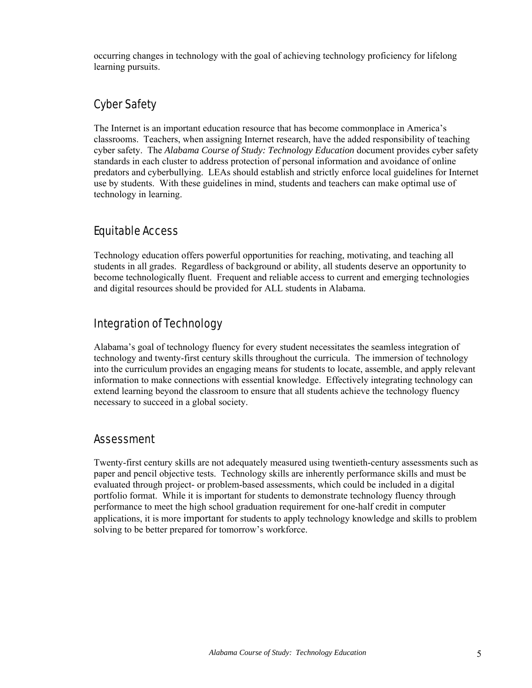occurring changes in technology with the goal of achieving technology proficiency for lifelong learning pursuits.

### Cyber Safety

The Internet is an important education resource that has become commonplace in America's classrooms. Teachers, when assigning Internet research, have the added responsibility of teaching cyber safety. The *Alabama Course of Study: Technology Education* document provides cyber safety standards in each cluster to address protection of personal information and avoidance of online predators and cyberbullying. LEAs should establish and strictly enforce local guidelines for Internet use by students. With these guidelines in mind, students and teachers can make optimal use of technology in learning.

### Equitable Access

Technology education offers powerful opportunities for reaching, motivating, and teaching all students in all grades. Regardless of background or ability, all students deserve an opportunity to become technologically fluent. Frequent and reliable access to current and emerging technologies and digital resources should be provided for ALL students in Alabama.

### Integration of Technology

Alabama's goal of technology fluency for every student necessitates the seamless integration of technology and twenty-first century skills throughout the curricula. The immersion of technology into the curriculum provides an engaging means for students to locate, assemble, and apply relevant information to make connections with essential knowledge. Effectively integrating technology can extend learning beyond the classroom to ensure that all students achieve the technology fluency necessary to succeed in a global society.

#### Assessment

Twenty-first century skills are not adequately measured using twentieth-century assessments such as paper and pencil objective tests. Technology skills are inherently performance skills and must be evaluated through project- or problem-based assessments, which could be included in a digital portfolio format. While it is important for students to demonstrate technology fluency through performance to meet the high school graduation requirement for one-half credit in computer applications, it is more important for students to apply technology knowledge and skills to problem solving to be better prepared for tomorrow's workforce.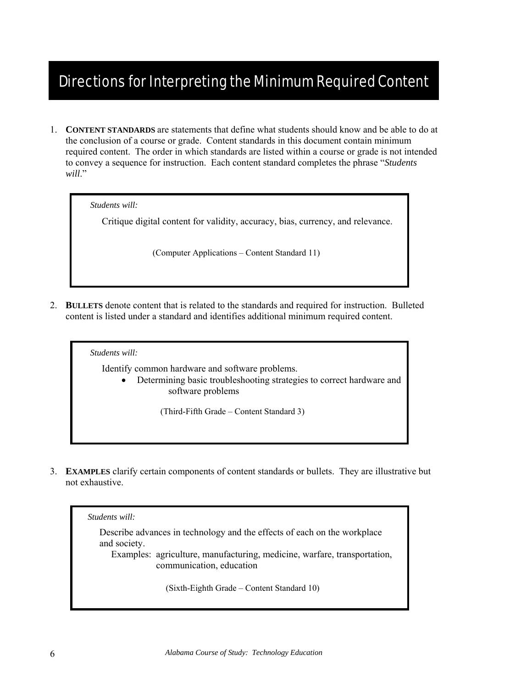## Directions for Interpreting the Minimum Required Content

1. **CONTENT STANDARDS** are statements that define what students should know and be able to do at the conclusion of a course or grade. Content standards in this document contain minimum required content. The order in which standards are listed within a course or grade is not intended to convey a sequence for instruction. Each content standard completes the phrase "*Students will*."

*Students will:* 

Critique digital content for validity, accuracy, bias, currency, and relevance.

(Computer Applications – Content Standard 11)

2. **BULLETS** denote content that is related to the standards and required for instruction. Bulleted content is listed under a standard and identifies additional minimum required content.

*Students will:* 

Identify common hardware and software problems.

• Determining basic troubleshooting strategies to correct hardware and software problems

(Third-Fifth Grade – Content Standard 3)

3. **EXAMPLES** clarify certain components of content standards or bullets. They are illustrative but not exhaustive.

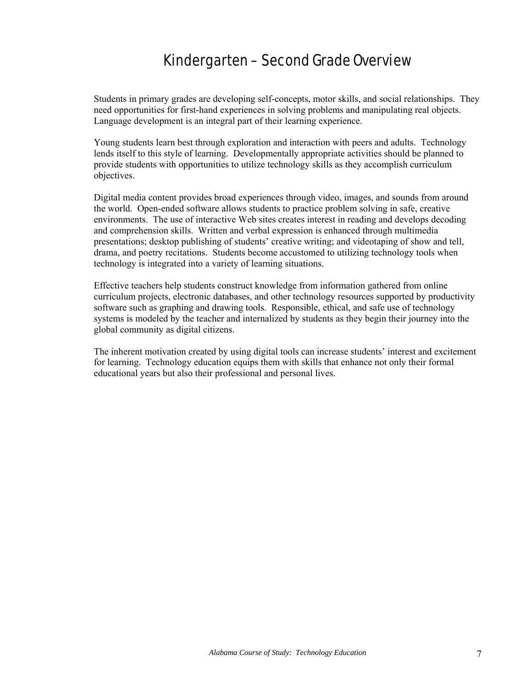## Kindergarten – Second Grade Overview

Students in primary grades are developing self-concepts, motor skills, and social relationships. They need opportunities for first-hand experiences in solving problems and manipulating real objects. Language development is an integral part of their learning experience.

Young students learn best through exploration and interaction with peers and adults. Technology lends itself to this style of learning. Developmentally appropriate activities should be planned to provide students with opportunities to utilize technology skills as they accomplish curriculum objectives.

Digital media content provides broad experiences through video, images, and sounds from around the world. Open-ended software allows students to practice problem solving in safe, creative environments. The use of interactive Web sites creates interest in reading and develops decoding and comprehension skills. Written and verbal expression is enhanced through multimedia presentations; desktop publishing of students' creative writing; and videotaping of show and tell, drama, and poetry recitations. Students become accustomed to utilizing technology tools when technology is integrated into a variety of learning situations.

Effective teachers help students construct knowledge from information gathered from online curriculum projects, electronic databases, and other technology resources supported by productivity software such as graphing and drawing tools. Responsible, ethical, and safe use of technology systems is modeled by the teacher and internalized by students as they begin their journey into the global community as digital citizens.

The inherent motivation created by using digital tools can increase students' interest and excitement for learning. Technology education equips them with skills that enhance not only their formal educational years but also their professional and personal lives.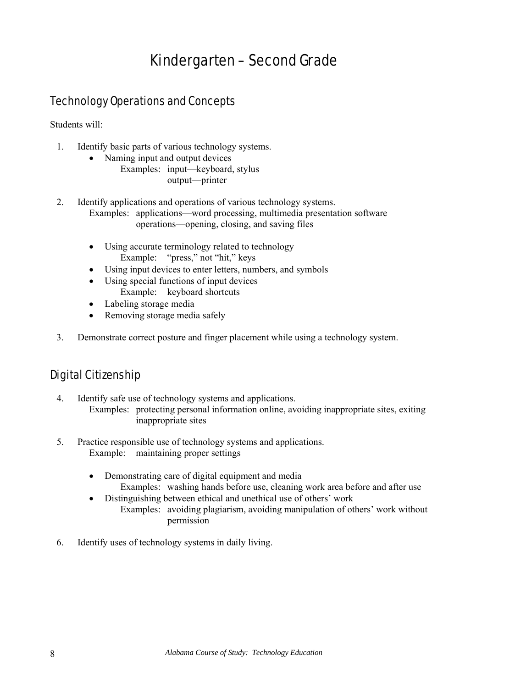## Kindergarten – Second Grade

### Technology Operations and Concepts

Students will:

- 1. Identify basic parts of various technology systems.
	- Naming input and output devices Examples: input—keyboard, stylus output—printer
- 2. Identify applications and operations of various technology systems. Examples: applications—word processing, multimedia presentation software operations—opening, closing, and saving files
	- Using accurate terminology related to technology Example: "press," not "hit," keys
	- Using input devices to enter letters, numbers, and symbols
	- Using special functions of input devices Example: keyboard shortcuts
	- Labeling storage media
	- Removing storage media safely
- 3. Demonstrate correct posture and finger placement while using a technology system.

### Digital Citizenship

- 4. Identify safe use of technology systems and applications. Examples: protecting personal information online, avoiding inappropriate sites, exiting inappropriate sites
- 5. Practice responsible use of technology systems and applications. Example: maintaining proper settings
	- Demonstrating care of digital equipment and media Examples: washing hands before use, cleaning work area before and after use
	- Distinguishing between ethical and unethical use of others' work
		- Examples: avoiding plagiarism, avoiding manipulation of others' work without permission
- 6. Identify uses of technology systems in daily living.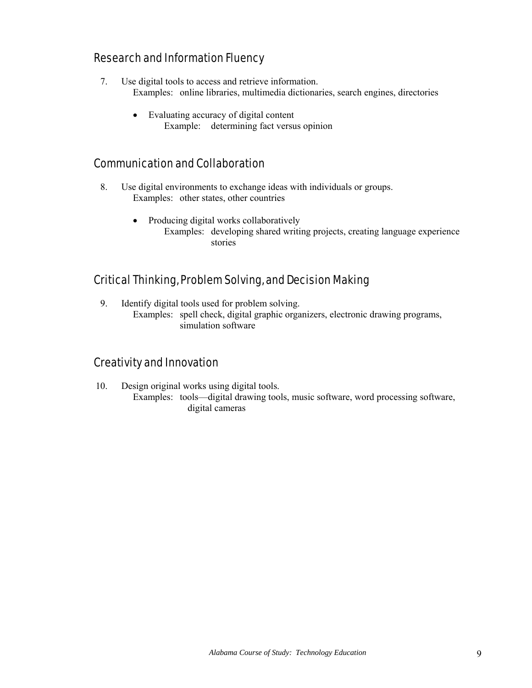#### Research and Information Fluency

- 7. Use digital tools to access and retrieve information. Examples: online libraries, multimedia dictionaries, search engines, directories
	- Evaluating accuracy of digital content Example: determining fact versus opinion

#### Communication and Collaboration

- 8. Use digital environments to exchange ideas with individuals or groups. Examples: other states, other countries
	- Producing digital works collaboratively Examples: developing shared writing projects, creating language experience stories

#### Critical Thinking, Problem Solving, and Decision Making

9. Identify digital tools used for problem solving. Examples: spell check, digital graphic organizers, electronic drawing programs, simulation software

#### Creativity and Innovation

10. Design original works using digital tools. Examples: tools—digital drawing tools, music software, word processing software, digital cameras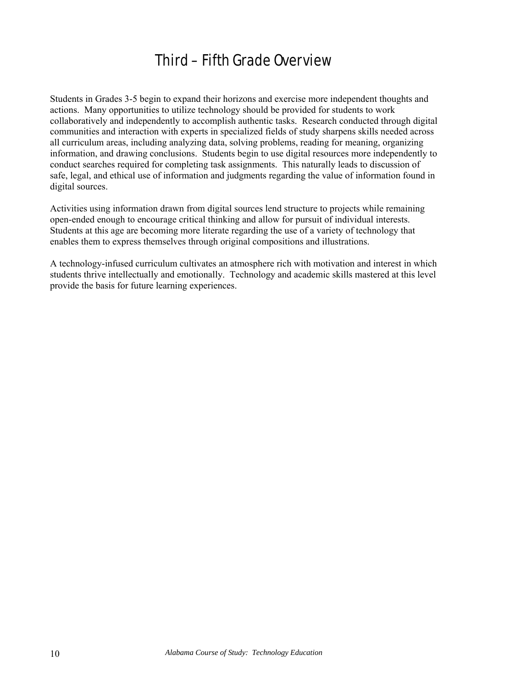## Third – Fifth Grade Overview

Students in Grades 3-5 begin to expand their horizons and exercise more independent thoughts and actions. Many opportunities to utilize technology should be provided for students to work collaboratively and independently to accomplish authentic tasks. Research conducted through digital communities and interaction with experts in specialized fields of study sharpens skills needed across all curriculum areas, including analyzing data, solving problems, reading for meaning, organizing information, and drawing conclusions. Students begin to use digital resources more independently to conduct searches required for completing task assignments. This naturally leads to discussion of safe, legal, and ethical use of information and judgments regarding the value of information found in digital sources.

Activities using information drawn from digital sources lend structure to projects while remaining open-ended enough to encourage critical thinking and allow for pursuit of individual interests. Students at this age are becoming more literate regarding the use of a variety of technology that enables them to express themselves through original compositions and illustrations.

A technology-infused curriculum cultivates an atmosphere rich with motivation and interest in which students thrive intellectually and emotionally. Technology and academic skills mastered at this level provide the basis for future learning experiences.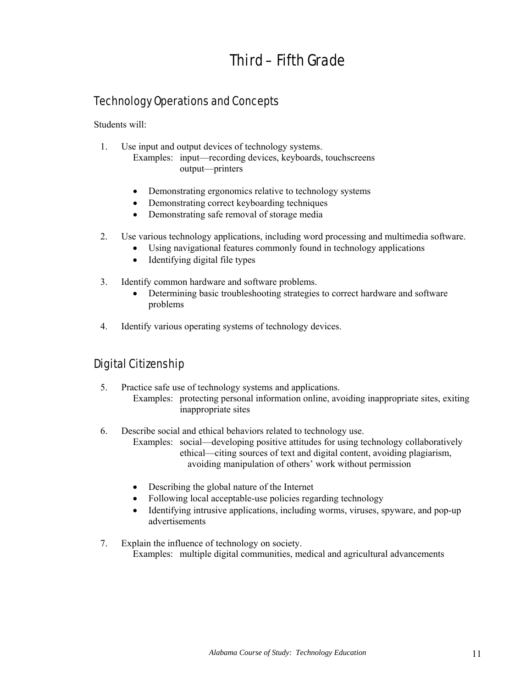## Third – Fifth Grade

### Technology Operations and Concepts

Students will:

- 1. Use input and output devices of technology systems. Examples: input—recording devices, keyboards, touchscreens
	- output—printers
	- Demonstrating ergonomics relative to technology systems
	- Demonstrating correct keyboarding techniques
	- Demonstrating safe removal of storage media
- 2. Use various technology applications, including word processing and multimedia software.
	- Using navigational features commonly found in technology applications
	- Identifying digital file types
- 3. Identify common hardware and software problems.
	- Determining basic troubleshooting strategies to correct hardware and software problems
- 4. Identify various operating systems of technology devices.

### Digital Citizenship

- 5. Practice safe use of technology systems and applications. Examples: protecting personal information online, avoiding inappropriate sites, exiting inappropriate sites
- 6. Describe social and ethical behaviors related to technology use.
	- Examples: social—developing positive attitudes for using technology collaboratively ethical—citing sources of text and digital content, avoiding plagiarism, avoiding manipulation of others' work without permission
	- Describing the global nature of the Internet
	- Following local acceptable-use policies regarding technology
	- Identifying intrusive applications, including worms, viruses, spyware, and pop-up advertisements
- 7. Explain the influence of technology on society. Examples: multiple digital communities, medical and agricultural advancements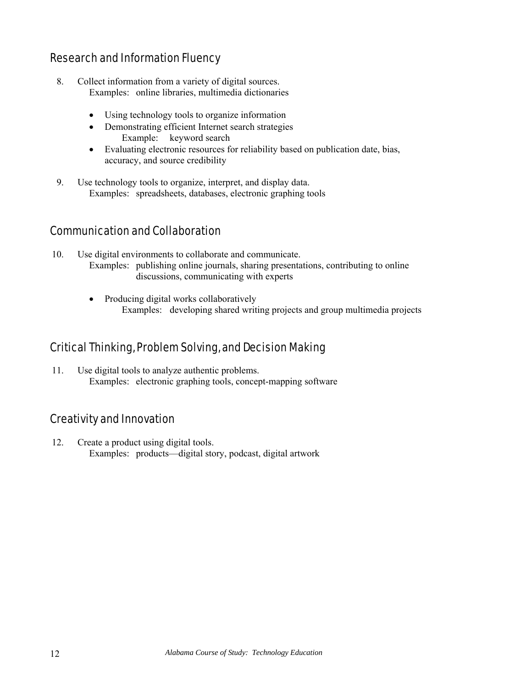#### Research and Information Fluency

- 8. Collect information from a variety of digital sources. Examples: online libraries, multimedia dictionaries
	- Using technology tools to organize information
	- Demonstrating efficient Internet search strategies Example: keyword search
	- Evaluating electronic resources for reliability based on publication date, bias, accuracy, and source credibility
- 9. Use technology tools to organize, interpret, and display data. Examples: spreadsheets, databases, electronic graphing tools

#### Communication and Collaboration

- 10. Use digital environments to collaborate and communicate. Examples: publishing online journals, sharing presentations, contributing to online discussions, communicating with experts
	- Producing digital works collaboratively Examples: developing shared writing projects and group multimedia projects

### Critical Thinking, Problem Solving, and Decision Making

11. Use digital tools to analyze authentic problems. Examples: electronic graphing tools, concept-mapping software

### Creativity and Innovation

12. Create a product using digital tools. Examples: products—digital story, podcast, digital artwork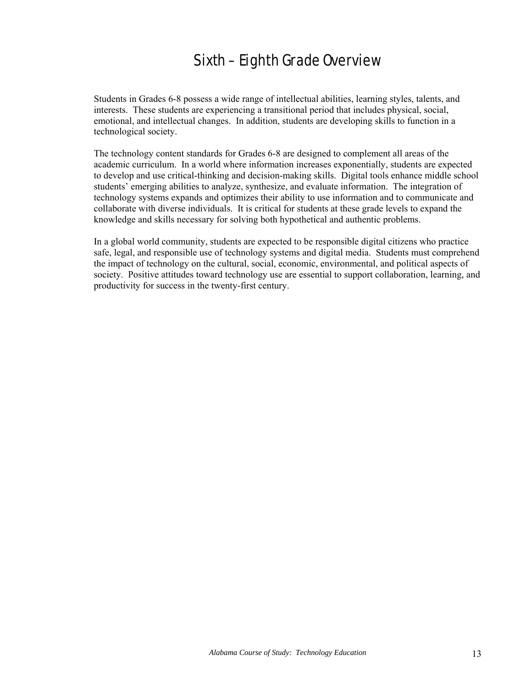## Sixth – Eighth Grade Overview

Students in Grades 6-8 possess a wide range of intellectual abilities, learning styles, talents, and interests. These students are experiencing a transitional period that includes physical, social, emotional, and intellectual changes. In addition, students are developing skills to function in a technological society.

The technology content standards for Grades 6-8 are designed to complement all areas of the academic curriculum. In a world where information increases exponentially, students are expected to develop and use critical-thinking and decision-making skills. Digital tools enhance middle school students' emerging abilities to analyze, synthesize, and evaluate information. The integration of technology systems expands and optimizes their ability to use information and to communicate and collaborate with diverse individuals. It is critical for students at these grade levels to expand the knowledge and skills necessary for solving both hypothetical and authentic problems.

In a global world community, students are expected to be responsible digital citizens who practice safe, legal, and responsible use of technology systems and digital media. Students must comprehend the impact of technology on the cultural, social, economic, environmental, and political aspects of society. Positive attitudes toward technology use are essential to support collaboration, learning, and productivity for success in the twenty-first century.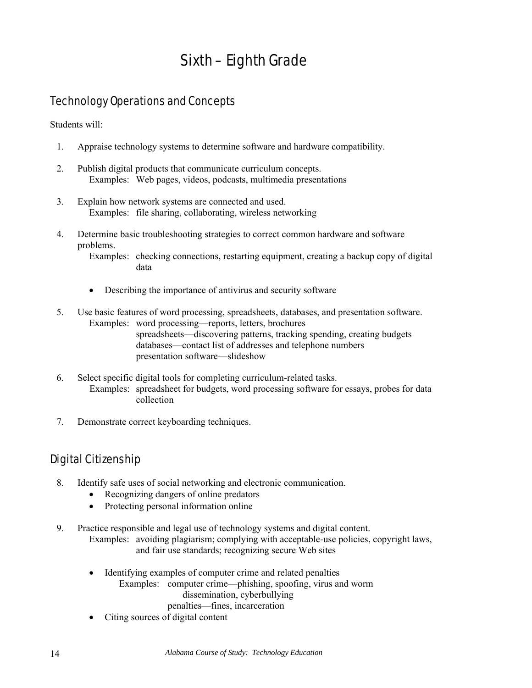## Sixth – Eighth Grade

### Technology Operations and Concepts

Students will:

- 1. Appraise technology systems to determine software and hardware compatibility.
- 2. Publish digital products that communicate curriculum concepts. Examples: Web pages, videos, podcasts, multimedia presentations
- 3. Explain how network systems are connected and used. Examples: file sharing, collaborating, wireless networking
- 4. Determine basic troubleshooting strategies to correct common hardware and software problems.

Examples: checking connections, restarting equipment, creating a backup copy of digital data

- Describing the importance of antivirus and security software
- 5. Use basic features of word processing, spreadsheets, databases, and presentation software. Examples: word processing—reports, letters, brochures spreadsheets—discovering patterns, tracking spending, creating budgets databases—contact list of addresses and telephone numbers presentation software—slideshow
- 6. Select specific digital tools for completing curriculum-related tasks. Examples: spreadsheet for budgets, word processing software for essays, probes for data collection
- 7. Demonstrate correct keyboarding techniques.

### Digital Citizenship

- 8. Identify safe uses of social networking and electronic communication.
	- Recognizing dangers of online predators
	- Protecting personal information online
- 9. Practice responsible and legal use of technology systems and digital content. Examples: avoiding plagiarism; complying with acceptable-use policies, copyright laws, and fair use standards; recognizing secure Web sites
	- Identifying examples of computer crime and related penalties Examples: computer crime—phishing, spoofing, virus and worm dissemination, cyberbullying penalties—fines, incarceration
	- Citing sources of digital content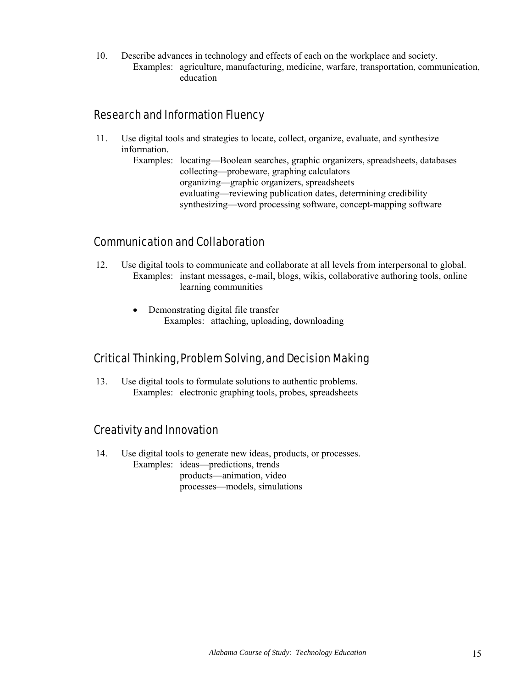10. Describe advances in technology and effects of each on the workplace and society. Examples: agriculture, manufacturing, medicine, warfare, transportation, communication, education

#### Research and Information Fluency

11. Use digital tools and strategies to locate, collect, organize, evaluate, and synthesize information.

> Examples: locating—Boolean searches, graphic organizers, spreadsheets, databases collecting—probeware, graphing calculators organizing—graphic organizers, spreadsheets evaluating—reviewing publication dates, determining credibility synthesizing—word processing software, concept-mapping software

#### Communication and Collaboration

- 12. Use digital tools to communicate and collaborate at all levels from interpersonal to global. Examples: instant messages, e-mail, blogs, wikis, collaborative authoring tools, online learning communities
	- Demonstrating digital file transfer Examples: attaching, uploading, downloading

#### Critical Thinking, Problem Solving, and Decision Making

13. Use digital tools to formulate solutions to authentic problems. Examples: electronic graphing tools, probes, spreadsheets

### Creativity and Innovation

14. Use digital tools to generate new ideas, products, or processes. Examples: ideas—predictions, trends products—animation, video processes—models, simulations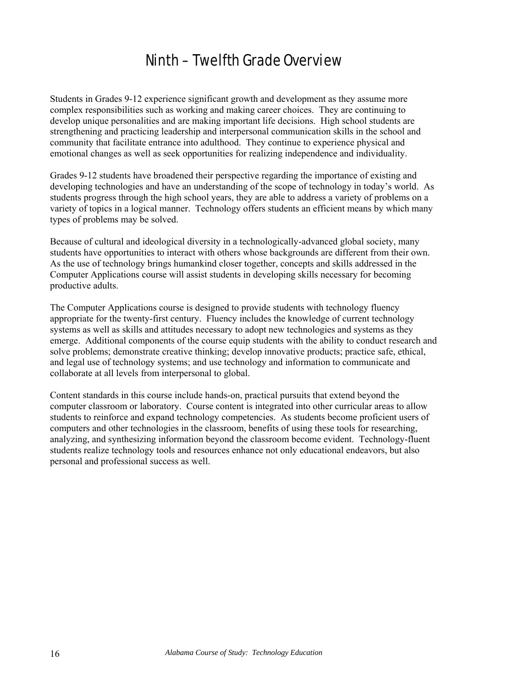## Ninth – Twelfth Grade Overview

Students in Grades 9-12 experience significant growth and development as they assume more complex responsibilities such as working and making career choices. They are continuing to develop unique personalities and are making important life decisions. High school students are strengthening and practicing leadership and interpersonal communication skills in the school and community that facilitate entrance into adulthood. They continue to experience physical and emotional changes as well as seek opportunities for realizing independence and individuality.

Grades 9-12 students have broadened their perspective regarding the importance of existing and developing technologies and have an understanding of the scope of technology in today's world. As students progress through the high school years, they are able to address a variety of problems on a variety of topics in a logical manner. Technology offers students an efficient means by which many types of problems may be solved.

Because of cultural and ideological diversity in a technologically-advanced global society, many students have opportunities to interact with others whose backgrounds are different from their own. As the use of technology brings humankind closer together, concepts and skills addressed in the Computer Applications course will assist students in developing skills necessary for becoming productive adults.

The Computer Applications course is designed to provide students with technology fluency appropriate for the twenty-first century. Fluency includes the knowledge of current technology systems as well as skills and attitudes necessary to adopt new technologies and systems as they emerge. Additional components of the course equip students with the ability to conduct research and solve problems; demonstrate creative thinking; develop innovative products; practice safe, ethical, and legal use of technology systems; and use technology and information to communicate and collaborate at all levels from interpersonal to global.

Content standards in this course include hands-on, practical pursuits that extend beyond the computer classroom or laboratory. Course content is integrated into other curricular areas to allow students to reinforce and expand technology competencies. As students become proficient users of computers and other technologies in the classroom, benefits of using these tools for researching, analyzing, and synthesizing information beyond the classroom become evident. Technology-fluent students realize technology tools and resources enhance not only educational endeavors, but also personal and professional success as well.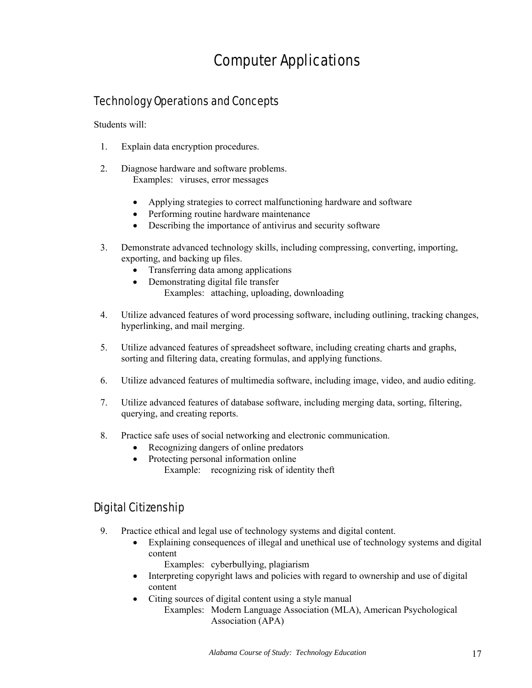## Computer Applications

### Technology Operations and Concepts

Students will:

- 1. Explain data encryption procedures.
- 2. Diagnose hardware and software problems. Examples: viruses, error messages
	- Applying strategies to correct malfunctioning hardware and software
	- Performing routine hardware maintenance
	- Describing the importance of antivirus and security software
- 3. Demonstrate advanced technology skills, including compressing, converting, importing, exporting, and backing up files.
	- Transferring data among applications
	- Demonstrating digital file transfer Examples: attaching, uploading, downloading
- 4. Utilize advanced features of word processing software, including outlining, tracking changes, hyperlinking, and mail merging.
- 5. Utilize advanced features of spreadsheet software, including creating charts and graphs, sorting and filtering data, creating formulas, and applying functions.
- 6. Utilize advanced features of multimedia software, including image, video, and audio editing.
- 7. Utilize advanced features of database software, including merging data, sorting, filtering, querying, and creating reports.
- 8. Practice safe uses of social networking and electronic communication.
	- Recognizing dangers of online predators
	- Protecting personal information online Example: recognizing risk of identity theft

### Digital Citizenship

- 9. Practice ethical and legal use of technology systems and digital content.
	- Explaining consequences of illegal and unethical use of technology systems and digital content
		- Examples: cyberbullying, plagiarism
	- Interpreting copyright laws and policies with regard to ownership and use of digital content
	- Citing sources of digital content using a style manual

Examples: Modern Language Association (MLA), American Psychological Association (APA)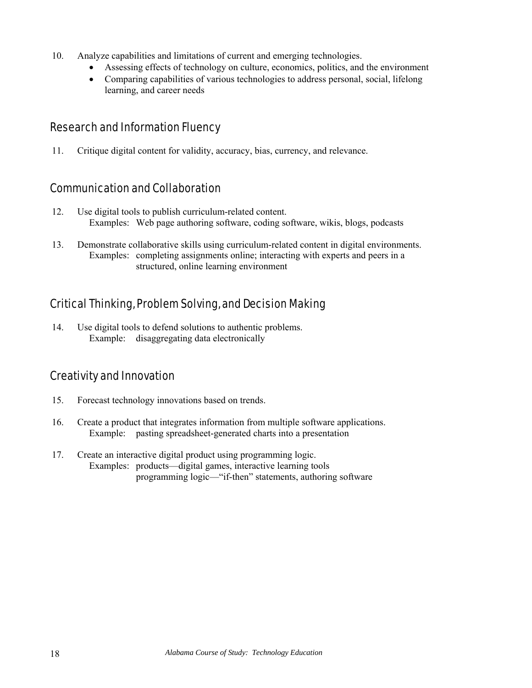- 10. Analyze capabilities and limitations of current and emerging technologies.
	- Assessing effects of technology on culture, economics, politics, and the environment
	- Comparing capabilities of various technologies to address personal, social, lifelong learning, and career needs

#### Research and Information Fluency

11. Critique digital content for validity, accuracy, bias, currency, and relevance.

#### Communication and Collaboration

- 12. Use digital tools to publish curriculum-related content. Examples: Web page authoring software, coding software, wikis, blogs, podcasts
- 13. Demonstrate collaborative skills using curriculum-related content in digital environments. Examples: completing assignments online; interacting with experts and peers in a structured, online learning environment

### Critical Thinking, Problem Solving, and Decision Making

14. Use digital tools to defend solutions to authentic problems. Example: disaggregating data electronically

#### Creativity and Innovation

- 15. Forecast technology innovations based on trends.
- 16. Create a product that integrates information from multiple software applications. Example: pasting spreadsheet-generated charts into a presentation
- 17. Create an interactive digital product using programming logic. Examples: products—digital games, interactive learning tools programming logic—"if-then" statements, authoring software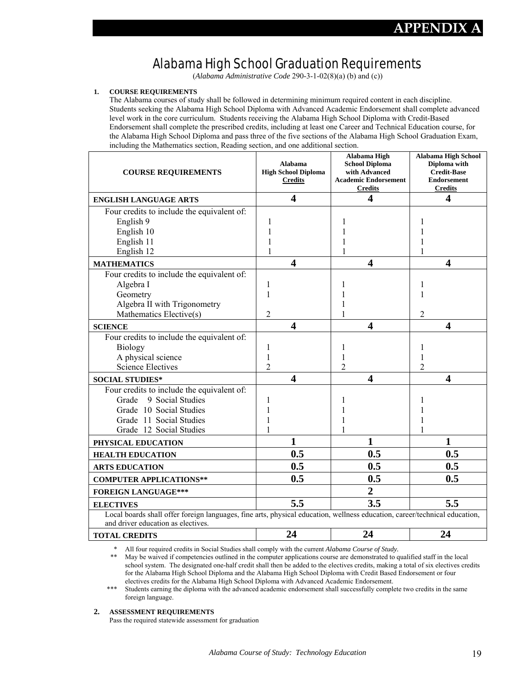**APPENDIX A** 

### Alabama High School Graduation Requirements

(*Alabama Administrative Code* 290-3-1-02(8)(a) (b) and (c))

#### **1. COURSE REQUIREMENTS**

The Alabama courses of study shall be followed in determining minimum required content in each discipline. Students seeking the Alabama High School Diploma with Advanced Academic Endorsement shall complete advanced level work in the core curriculum. Students receiving the Alabama High School Diploma with Credit-Based Endorsement shall complete the prescribed credits, including at least one Career and Technical Education course, for the Alabama High School Diploma and pass three of the five sections of the Alabama High School Graduation Exam, including the Mathematics section, Reading section, and one additional section.

| <b>COURSE REQUIREMENTS</b>                                                                                                 | Alabama<br><b>High School Diploma</b><br><b>Credits</b> | Alabama High<br><b>School Diploma</b><br>with Advanced<br><b>Academic Endorsement</b><br><b>Credits</b> | Alabama High School<br>Diploma with<br><b>Credit-Base</b><br><b>Endorsement</b><br><b>Credits</b> |
|----------------------------------------------------------------------------------------------------------------------------|---------------------------------------------------------|---------------------------------------------------------------------------------------------------------|---------------------------------------------------------------------------------------------------|
| <b>ENGLISH LANGUAGE ARTS</b>                                                                                               | $\overline{\mathbf{4}}$                                 | $\overline{\mathbf{4}}$                                                                                 | 4                                                                                                 |
| Four credits to include the equivalent of:                                                                                 |                                                         |                                                                                                         |                                                                                                   |
| English 9                                                                                                                  |                                                         |                                                                                                         |                                                                                                   |
| English 10                                                                                                                 |                                                         |                                                                                                         |                                                                                                   |
| English 11                                                                                                                 |                                                         |                                                                                                         |                                                                                                   |
| English 12                                                                                                                 |                                                         |                                                                                                         | 1                                                                                                 |
| <b>MATHEMATICS</b>                                                                                                         | $\overline{\mathbf{4}}$                                 | $\overline{\mathbf{4}}$                                                                                 | 4                                                                                                 |
| Four credits to include the equivalent of:                                                                                 |                                                         |                                                                                                         |                                                                                                   |
| Algebra I                                                                                                                  | 1                                                       |                                                                                                         |                                                                                                   |
| Geometry                                                                                                                   | 1                                                       |                                                                                                         | 1                                                                                                 |
| Algebra II with Trigonometry                                                                                               |                                                         |                                                                                                         |                                                                                                   |
| Mathematics Elective(s)                                                                                                    | 2                                                       |                                                                                                         | 2                                                                                                 |
| <b>SCIENCE</b>                                                                                                             | $\overline{\mathbf{4}}$                                 | $\overline{\mathbf{4}}$                                                                                 | 4                                                                                                 |
| Four credits to include the equivalent of:                                                                                 |                                                         |                                                                                                         |                                                                                                   |
| <b>Biology</b>                                                                                                             | 1                                                       |                                                                                                         | ı                                                                                                 |
| A physical science                                                                                                         | 1                                                       |                                                                                                         | 1                                                                                                 |
| <b>Science Electives</b>                                                                                                   | $\overline{2}$                                          | 2                                                                                                       | $\overline{c}$                                                                                    |
| <b>SOCIAL STUDIES*</b>                                                                                                     | $\overline{\mathbf{4}}$                                 | $\overline{\mathbf{4}}$                                                                                 | 4                                                                                                 |
| Four credits to include the equivalent of:                                                                                 |                                                         |                                                                                                         |                                                                                                   |
| 9 Social Studies<br>Grade                                                                                                  | 1                                                       |                                                                                                         | 1                                                                                                 |
| Grade 10 Social Studies                                                                                                    |                                                         |                                                                                                         |                                                                                                   |
| Grade 11 Social Studies                                                                                                    | 1                                                       |                                                                                                         |                                                                                                   |
| Grade 12 Social Studies                                                                                                    | 1                                                       |                                                                                                         | 1                                                                                                 |
| PHYSICAL EDUCATION                                                                                                         | $\mathbf{1}$                                            | 1                                                                                                       | 1                                                                                                 |
| <b>HEALTH EDUCATION</b>                                                                                                    | 0.5                                                     | 0.5                                                                                                     | 0.5                                                                                               |
| <b>ARTS EDUCATION</b>                                                                                                      | 0.5                                                     | 0.5                                                                                                     | 0.5                                                                                               |
| <b>COMPUTER APPLICATIONS**</b>                                                                                             | 0.5                                                     | 0.5                                                                                                     | 0.5                                                                                               |
| <b>FOREIGN LANGUAGE***</b>                                                                                                 |                                                         | $\overline{2}$                                                                                          |                                                                                                   |
| <b>ELECTIVES</b>                                                                                                           | 5.5                                                     | 3.5                                                                                                     | 5.5                                                                                               |
| Local boards shall offer foreign languages, fine arts, physical education, wellness education, career/technical education, |                                                         |                                                                                                         |                                                                                                   |
| and driver education as electives.                                                                                         |                                                         |                                                                                                         |                                                                                                   |
| <b>TOTAL CREDITS</b>                                                                                                       | 24                                                      | 24                                                                                                      | 24                                                                                                |

\* All four required credits in Social Studies shall comply with the current *Alabama Course of Study.*

 \*\* May be waived if competencies outlined in the computer applications course are demonstrated to qualified staff in the local school system. The designated one-half credit shall then be added to the electives credits, making a total of six electives credits for the Alabama High School Diploma and the Alabama High School Diploma with Credit Based Endorsement or four electives credits for the Alabama High School Diploma with Advanced Academic Endorsement.

\*\*\* Students earning the diploma with the advanced academic endorsement shall successfully complete two credits in the same foreign language.

#### **2. ASSESSMENT REQUIREMENTS**

Pass the required statewide assessment for graduation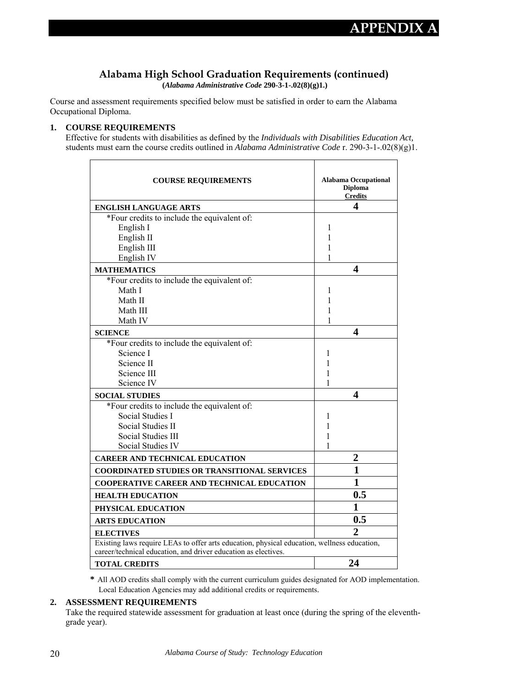#### **Alabama High School Graduation Requirements (continued)**

 **(***Alabama Administrative Code* **290-3-1-.02(8)(g)1.)** 

Course and assessment requirements specified below must be satisfied in order to earn the Alabama Occupational Diploma.

#### **1. COURSE REQUIREMENTS**

Effective for students with disabilities as defined by the *Individuals with Disabilities Education Act,* students must earn the course credits outlined in *Alabama Administrative Code* r. 290-3-1-.02(8)(g)1.

| <b>COURSE REQUIREMENTS</b>                                                                                                                                    | <b>Alabama Occupational</b><br><b>Diploma</b><br><b>Credits</b> |  |  |
|---------------------------------------------------------------------------------------------------------------------------------------------------------------|-----------------------------------------------------------------|--|--|
| <b>ENGLISH LANGUAGE ARTS</b>                                                                                                                                  | 4                                                               |  |  |
| *Four credits to include the equivalent of:                                                                                                                   |                                                                 |  |  |
| English I                                                                                                                                                     | 1                                                               |  |  |
| English II                                                                                                                                                    | 1                                                               |  |  |
| English III                                                                                                                                                   | 1                                                               |  |  |
| English IV                                                                                                                                                    | 1                                                               |  |  |
| <b>MATHEMATICS</b>                                                                                                                                            | 4                                                               |  |  |
| *Four credits to include the equivalent of:                                                                                                                   |                                                                 |  |  |
| Math I                                                                                                                                                        | 1                                                               |  |  |
| Math II                                                                                                                                                       | 1                                                               |  |  |
| Math III                                                                                                                                                      | 1                                                               |  |  |
| Math IV                                                                                                                                                       | 1                                                               |  |  |
| <b>SCIENCE</b>                                                                                                                                                | 4                                                               |  |  |
| *Four credits to include the equivalent of:                                                                                                                   |                                                                 |  |  |
| Science I                                                                                                                                                     | 1                                                               |  |  |
| Science II                                                                                                                                                    | 1                                                               |  |  |
| Science III                                                                                                                                                   | 1                                                               |  |  |
| Science IV                                                                                                                                                    | 1                                                               |  |  |
| <b>SOCIAL STUDIES</b>                                                                                                                                         | 4                                                               |  |  |
| *Four credits to include the equivalent of:                                                                                                                   |                                                                 |  |  |
| <b>Social Studies I</b>                                                                                                                                       | 1                                                               |  |  |
| <b>Social Studies II</b>                                                                                                                                      | 1                                                               |  |  |
| <b>Social Studies III</b>                                                                                                                                     | 1                                                               |  |  |
| <b>Social Studies IV</b>                                                                                                                                      | 1                                                               |  |  |
| <b>CAREER AND TECHNICAL EDUCATION</b>                                                                                                                         | 2                                                               |  |  |
| <b>COORDINATED STUDIES OR TRANSITIONAL SERVICES</b>                                                                                                           | $\mathbf{1}$                                                    |  |  |
| <b>COOPERATIVE CAREER AND TECHNICAL EDUCATION</b>                                                                                                             | 1                                                               |  |  |
| <b>HEALTH EDUCATION</b>                                                                                                                                       | 0.5                                                             |  |  |
| PHYSICAL EDUCATION                                                                                                                                            | 1                                                               |  |  |
| <b>ARTS EDUCATION</b>                                                                                                                                         | 0.5                                                             |  |  |
| <b>ELECTIVES</b>                                                                                                                                              | $\overline{2}$                                                  |  |  |
| Existing laws require LEAs to offer arts education, physical education, wellness education,<br>career/technical education, and driver education as electives. |                                                                 |  |  |
| <b>TOTAL CREDITS</b>                                                                                                                                          | 24                                                              |  |  |

**\*** All AOD credits shall comply with the current curriculum guides designated for AOD implementation. Local Education Agencies may add additional credits or requirements.

#### **2. ASSESSMENT REQUIREMENTS**

Take the required statewide assessment for graduation at least once (during the spring of the eleventhgrade year).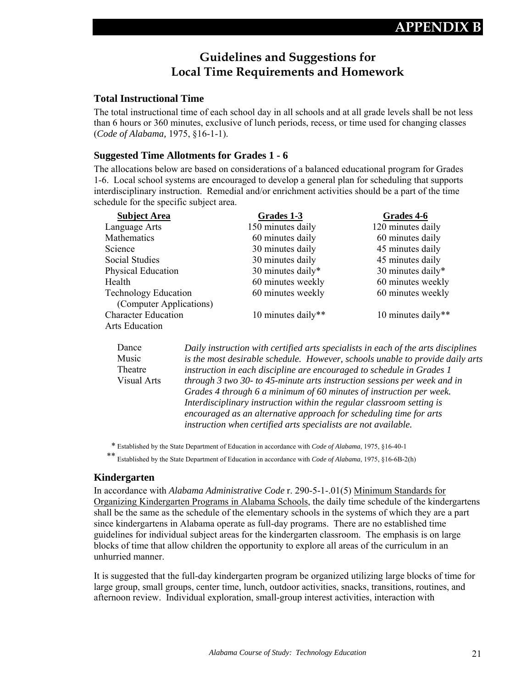#### **Guidelines and Suggestions for Local Time Requirements and Homework**

#### **Total Instructional Time**

The total instructional time of each school day in all schools and at all grade levels shall be not less than 6 hours or 360 minutes, exclusive of lunch periods, recess, or time used for changing classes (*Code of Alabama,* 1975, §16-1-1).

#### **Suggested Time Allotments for Grades 1 - 6**

The allocations below are based on considerations of a balanced educational program for Grades 1-6. Local school systems are encouraged to develop a general plan for scheduling that supports interdisciplinary instruction. Remedial and/or enrichment activities should be a part of the time schedule for the specific subject area.

| <b>Subject Area</b>         | Grades 1-3         | Grades 4-6         |
|-----------------------------|--------------------|--------------------|
| Language Arts               | 150 minutes daily  | 120 minutes daily  |
| Mathematics                 | 60 minutes daily   | 60 minutes daily   |
| <b>Science</b>              | 30 minutes daily   | 45 minutes daily   |
| <b>Social Studies</b>       | 30 minutes daily   | 45 minutes daily   |
| <b>Physical Education</b>   | 30 minutes daily*  | 30 minutes daily*  |
| Health                      | 60 minutes weekly  | 60 minutes weekly  |
| <b>Technology Education</b> | 60 minutes weekly  | 60 minutes weekly  |
| (Computer Applications)     |                    |                    |
| <b>Character Education</b>  | 10 minutes daily** | 10 minutes daily** |
| Arts Education              |                    |                    |

Dance Music Theatre Visual Arts *Daily instruction with certified arts specialists in each of the arts disciplines is the most desirable schedule. However, schools unable to provide daily arts instruction in each discipline are encouraged to schedule in Grades 1 through 3 two 30- to 45-minute arts instruction sessions per week and in Grades 4 through 6 a minimum of 60 minutes of instruction per week. Interdisciplinary instruction within the regular classroom setting is encouraged as an alternative approach for scheduling time for arts instruction when certified arts specialists are not available.* 

\* Established by the State Department of Education in accordance with *Code of Alabama*, 1975, §16-40-1

\*\* Established by the State Department of Education in accordance with *Code of Alabama*, 1975, §16-6B-2(h)

#### **Kindergarten**

In accordance with *Alabama Administrative Code* r. 290-5-1-.01(5) Minimum Standards for Organizing Kindergarten Programs in Alabama Schools, the daily time schedule of the kindergartens shall be the same as the schedule of the elementary schools in the systems of which they are a part since kindergartens in Alabama operate as full-day programs. There are no established time guidelines for individual subject areas for the kindergarten classroom. The emphasis is on large blocks of time that allow children the opportunity to explore all areas of the curriculum in an unhurried manner.

It is suggested that the full-day kindergarten program be organized utilizing large blocks of time for large group, small groups, center time, lunch, outdoor activities, snacks, transitions, routines, and afternoon review. Individual exploration, small-group interest activities, interaction with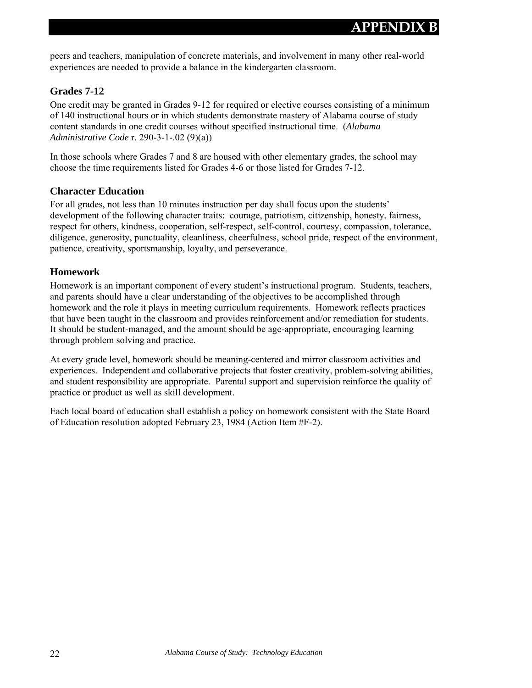peers and teachers, manipulation of concrete materials, and involvement in many other real-world experiences are needed to provide a balance in the kindergarten classroom.

#### **Grades 7-12**

One credit may be granted in Grades 9-12 for required or elective courses consisting of a minimum of 140 instructional hours or in which students demonstrate mastery of Alabama course of study content standards in one credit courses without specified instructional time. (*Alabama Administrative Code* r. 290-3-1-.02 (9)(a))

In those schools where Grades 7 and 8 are housed with other elementary grades, the school may choose the time requirements listed for Grades 4-6 or those listed for Grades 7-12.

#### **Character Education**

For all grades, not less than 10 minutes instruction per day shall focus upon the students' development of the following character traits: courage, patriotism, citizenship, honesty, fairness, respect for others, kindness, cooperation, self-respect, self-control, courtesy, compassion, tolerance, diligence, generosity, punctuality, cleanliness, cheerfulness, school pride, respect of the environment, patience, creativity, sportsmanship, loyalty, and perseverance.

#### **Homework**

Homework is an important component of every student's instructional program. Students, teachers, and parents should have a clear understanding of the objectives to be accomplished through homework and the role it plays in meeting curriculum requirements. Homework reflects practices that have been taught in the classroom and provides reinforcement and/or remediation for students. It should be student-managed, and the amount should be age-appropriate, encouraging learning through problem solving and practice.

At every grade level, homework should be meaning-centered and mirror classroom activities and experiences. Independent and collaborative projects that foster creativity, problem-solving abilities, and student responsibility are appropriate. Parental support and supervision reinforce the quality of practice or product as well as skill development.

Each local board of education shall establish a policy on homework consistent with the State Board of Education resolution adopted February 23, 1984 (Action Item #F-2).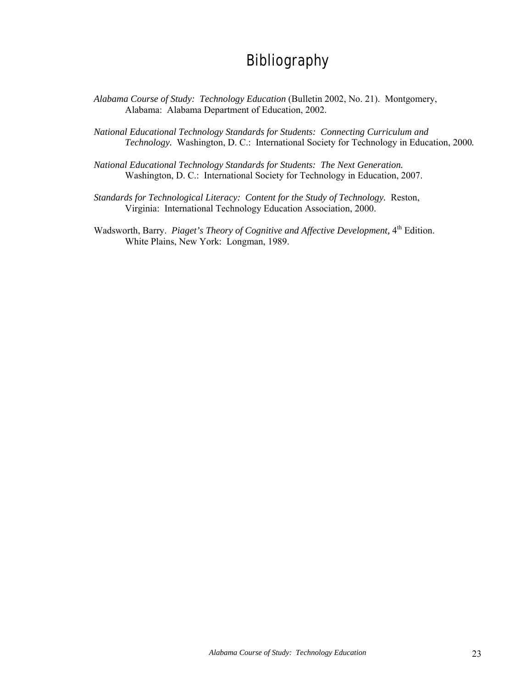## **Bibliography**

- *Alabama Course of Study: Technology Education* (Bulletin 2002, No. 21). Montgomery, Alabama: Alabama Department of Education, 2002.
- *National Educational Technology Standards for Students: Connecting Curriculum and Technology.* Washington, D. C.: International Society for Technology in Education, 2000*.*
- *National Educational Technology Standards for Students: The Next Generation.* Washington, D. C.: International Society for Technology in Education, 2007.
- *Standards for Technological Literacy: Content for the Study of Technology.* Reston, Virginia: International Technology Education Association, 2000.
- Wadsworth, Barry. *Piaget's Theory of Cognitive and Affective Development*, 4<sup>th</sup> Edition. White Plains, New York: Longman, 1989.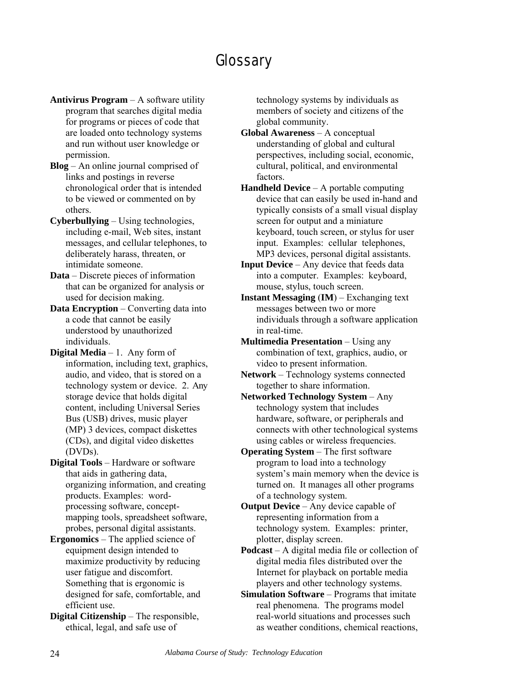## **Glossary**

**Antivirus Program** – A software utility program that searches digital media for programs or pieces of code that are loaded onto technology systems and run without user knowledge or permission.

**Blog** – An online journal comprised of links and postings in reverse chronological order that is intended to be viewed or commented on by others.

**Cyberbullying** – Using technologies, including e-mail, Web sites, instant messages, and cellular telephones, to deliberately harass, threaten, or intimidate someone.

**Data** – Discrete pieces of information that can be organized for analysis or used for decision making.

**Data Encryption** – Converting data into a code that cannot be easily understood by unauthorized individuals.

**Digital Media** – 1. Any form of information, including text, graphics, audio, and video, that is stored on a technology system or device. 2. Any storage device that holds digital content, including Universal Series Bus (USB) drives, music player (MP) 3 devices, compact diskettes (CDs), and digital video diskettes (DVDs).

**Digital Tools** – Hardware or software that aids in gathering data, organizing information, and creating products. Examples: wordprocessing software, conceptmapping tools, spreadsheet software, probes, personal digital assistants.

**Ergonomics** – The applied science of equipment design intended to maximize productivity by reducing user fatigue and discomfort. Something that is ergonomic is designed for safe, comfortable, and efficient use.

**Digital Citizenship** – The responsible, ethical, legal, and safe use of

technology systems by individuals as members of society and citizens of the global community.

**Global Awareness** – A conceptual understanding of global and cultural perspectives, including social, economic, cultural, political, and environmental factors.

- **Handheld Device** A portable computing device that can easily be used in-hand and typically consists of a small visual display screen for output and a miniature keyboard, touch screen, or stylus for user input. Examples: cellular telephones, MP3 devices, personal digital assistants.
- **Input Device** Any device that feeds data into a computer. Examples: keyboard, mouse, stylus, touch screen.
- **Instant Messaging** (**IM**) Exchanging text messages between two or more individuals through a software application in real-time.
- **Multimedia Presentation** Using any combination of text, graphics, audio, or video to present information.
- **Network** Technology systems connected together to share information.

**Networked Technology System** – Any technology system that includes hardware, software, or peripherals and connects with other technological systems using cables or wireless frequencies.

**Operating System** – The first software program to load into a technology system's main memory when the device is turned on. It manages all other programs of a technology system.

**Output Device** – Any device capable of representing information from a technology system. Examples: printer, plotter, display screen.

**Podcast** – A digital media file or collection of digital media files distributed over the Internet for playback on portable media players and other technology systems.

**Simulation Software** – Programs that imitate real phenomena. The programs model real-world situations and processes such as weather conditions, chemical reactions,